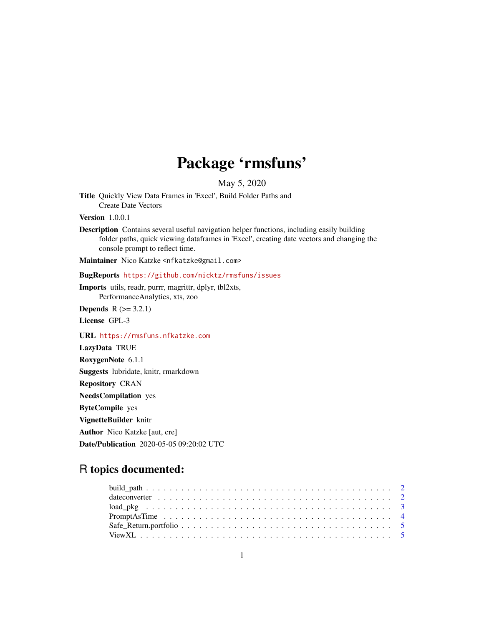## Package 'rmsfuns'

May 5, 2020

Title Quickly View Data Frames in 'Excel', Build Folder Paths and Create Date Vectors

Version 1.0.0.1

Description Contains several useful navigation helper functions, including easily building folder paths, quick viewing dataframes in 'Excel', creating date vectors and changing the console prompt to reflect time.

Maintainer Nico Katzke <nfkatzke@gmail.com>

#### BugReports <https://github.com/nicktz/rmsfuns/issues>

Imports utils, readr, purrr, magrittr, dplyr, tbl2xts, PerformanceAnalytics, xts, zoo

**Depends**  $R (= 3.2.1)$ 

License GPL-3

URL <https://rmsfuns.nfkatzke.com>

LazyData TRUE RoxygenNote 6.1.1 Suggests lubridate, knitr, rmarkdown Repository CRAN NeedsCompilation yes ByteCompile yes VignetteBuilder knitr Author Nico Katzke [aut, cre] Date/Publication 2020-05-05 09:20:02 UTC

### R topics documented: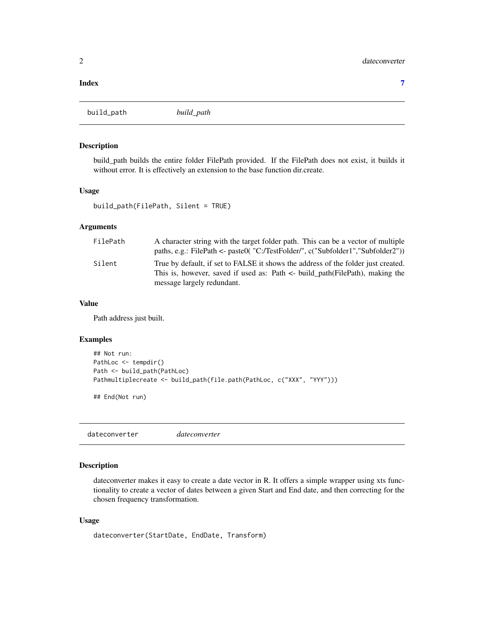#### <span id="page-1-0"></span>**Index** [7](#page-6-0) **7**

build\_path *build\_path*

#### Description

build\_path builds the entire folder FilePath provided. If the FilePath does not exist, it builds it without error. It is effectively an extension to the base function dir.create.

#### Usage

```
build_path(FilePath, Silent = TRUE)
```
#### Arguments

| FilePath | A character string with the target folder path. This can be a vector of multiple  |
|----------|-----------------------------------------------------------------------------------|
|          | paths, e.g.: FilePath <- paste0( "C:/TestFolder/", c("Subfolder1","Subfolder2"))  |
| Silent   | True by default, if set to FALSE it shows the address of the folder just created. |
|          | This is, however, saved if used as: Path <- build_path(FilePath), making the      |
|          | message largely redundant.                                                        |

#### Value

Path address just built.

#### Examples

```
## Not run:
PathLoc <- tempdir()
Path <- build_path(PathLoc)
Pathmultiplecreate <- build_path(file.path(PathLoc, c("XXX", "YYY")))
```
## End(Not run)

dateconverter *dateconverter*

#### Description

dateconverter makes it easy to create a date vector in R. It offers a simple wrapper using xts functionality to create a vector of dates between a given Start and End date, and then correcting for the chosen frequency transformation.

#### Usage

```
dateconverter(StartDate, EndDate, Transform)
```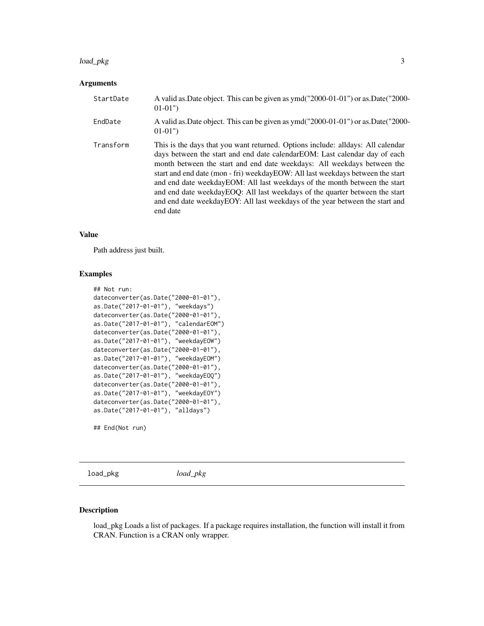#### <span id="page-2-0"></span>load\_pkg 3

#### Arguments

| StartDate | A valid as. Date object. This can be given as ymd("2000-01-01") or as. Date("2000-<br>$01-01"$                                                                                                                                                                                                                                                                                                                                                                                                                                                                                     |
|-----------|------------------------------------------------------------------------------------------------------------------------------------------------------------------------------------------------------------------------------------------------------------------------------------------------------------------------------------------------------------------------------------------------------------------------------------------------------------------------------------------------------------------------------------------------------------------------------------|
| EndDate   | A valid as Date object. This can be given as ymd("2000-01-01") or as Date("2000-<br>$01-01"$                                                                                                                                                                                                                                                                                                                                                                                                                                                                                       |
| Transform | This is the days that you want returned. Options include: alldays: All calendar<br>days between the start and end date calendarEOM: Last calendar day of each<br>month between the start and end date weekdays: All weekdays between the<br>start and end date (mon - fri) weekdayEOW: All last weekdays between the start<br>and end date weekdayEOM: All last weekdays of the month between the start<br>and end date weekdayEOQ: All last weekdays of the quarter between the start<br>and end date weekdayEOY: All last weekdays of the year between the start and<br>end date |

#### Value

Path address just built.

#### Examples

```
## Not run:
dateconverter(as.Date("2000-01-01"),
as.Date("2017-01-01"), "weekdays")
dateconverter(as.Date("2000-01-01"),
as.Date("2017-01-01"), "calendarEOM")
dateconverter(as.Date("2000-01-01"),
as.Date("2017-01-01"), "weekdayEOW")
dateconverter(as.Date("2000-01-01"),
as.Date("2017-01-01"), "weekdayEOM")
dateconverter(as.Date("2000-01-01"),
as.Date("2017-01-01"), "weekdayEOQ")
dateconverter(as.Date("2000-01-01"),
as.Date("2017-01-01"), "weekdayEOY")
dateconverter(as.Date("2000-01-01"),
as.Date("2017-01-01"), "alldays")
```
## End(Not run)

load\_pkg *load\_pkg*

#### Description

load\_pkg Loads a list of packages. If a package requires installation, the function will install it from CRAN. Function is a CRAN only wrapper.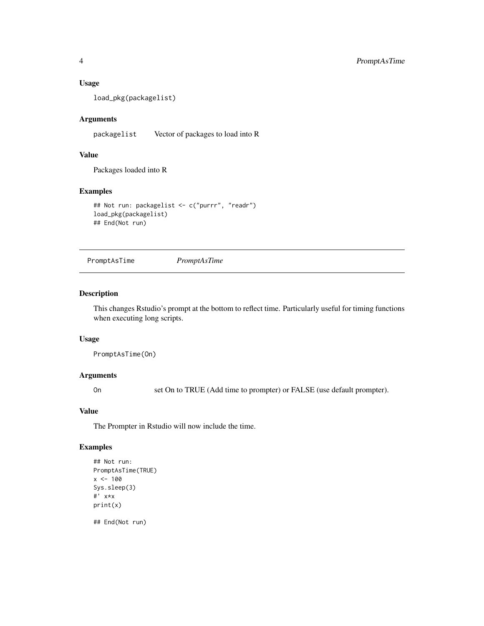#### Usage

load\_pkg(packagelist)

#### Arguments

packagelist Vector of packages to load into R

#### Value

Packages loaded into R

#### Examples

```
## Not run: packagelist <- c("purrr", "readr")
load_pkg(packagelist)
## End(Not run)
```
PromptAsTime *PromptAsTime*

#### Description

This changes Rstudio's prompt at the bottom to reflect time. Particularly useful for timing functions when executing long scripts.

#### Usage

PromptAsTime(On)

#### Arguments

On set On to TRUE (Add time to prompter) or FALSE (use default prompter).

#### Value

The Prompter in Rstudio will now include the time.

#### Examples

```
## Not run:
PromptAsTime(TRUE)
x < -100Sys.sleep(3)
#' x*x
print(x)
## End(Not run)
```
<span id="page-3-0"></span>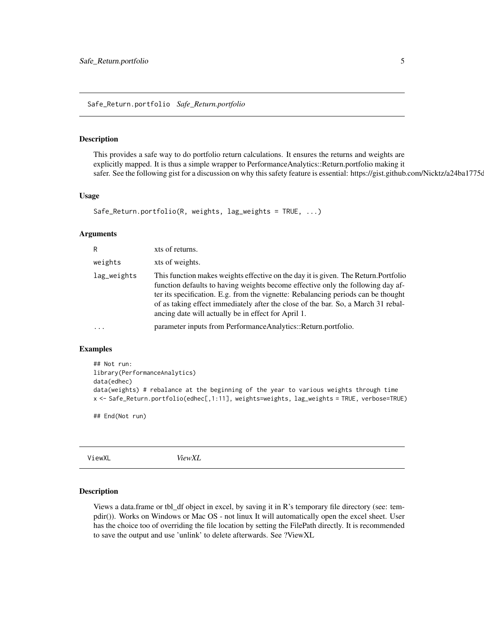<span id="page-4-0"></span>Safe\_Return.portfolio *Safe\_Return.portfolio*

#### **Description**

This provides a safe way to do portfolio return calculations. It ensures the returns and weights are explicitly mapped. It is thus a simple wrapper to PerformanceAnalytics::Return.portfolio making it safer. See the following gist for a discussion on why this safety feature is essential: https://gist.github.com/Nicktz/a24ba1775c

#### Usage

```
Safe_Return.portfolio(R, weights, lag_weights = TRUE, ...)
```
#### Arguments

| R           | xts of returns.                                                                                                                                                                                                                                                                                                                                                                                         |
|-------------|---------------------------------------------------------------------------------------------------------------------------------------------------------------------------------------------------------------------------------------------------------------------------------------------------------------------------------------------------------------------------------------------------------|
| weights     | xts of weights.                                                                                                                                                                                                                                                                                                                                                                                         |
| lag_weights | This function makes weights effective on the day it is given. The Return. Portfolio<br>function defaults to having weights become effective only the following day af-<br>ter its specification. E.g. from the vignette: Rebalancing periods can be thought<br>of as taking effect immediately after the close of the bar. So, a March 31 rebal-<br>ancing date will actually be in effect for April 1. |
|             | parameter inputs from Performance Analytics:: Return.portfolio.                                                                                                                                                                                                                                                                                                                                         |

#### Examples

```
## Not run:
library(PerformanceAnalytics)
data(edhec)
data(weights) # rebalance at the beginning of the year to various weights through time
x <- Safe_Return.portfolio(edhec[,1:11], weights=weights, lag_weights = TRUE, verbose=TRUE)
```
## End(Not run)

ViewXL *ViewXL*

#### Description

Views a data.frame or tbl\_df object in excel, by saving it in R's temporary file directory (see: tempdir()). Works on Windows or Mac OS - not linux It will automatically open the excel sheet. User has the choice too of overriding the file location by setting the FilePath directly. It is recommended to save the output and use 'unlink' to delete afterwards. See ?ViewXL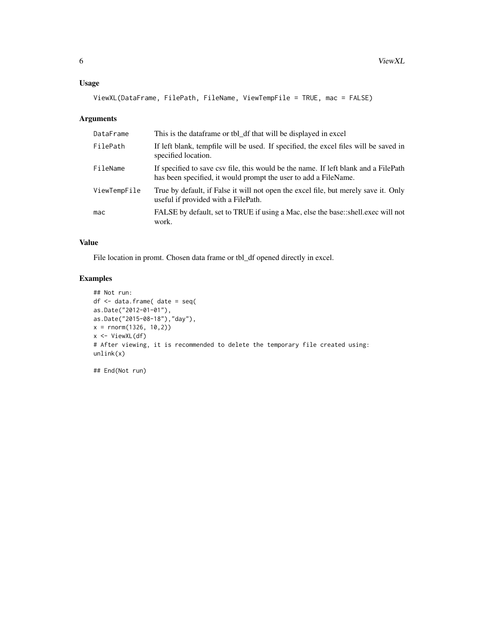#### Usage

ViewXL(DataFrame, FilePath, FileName, ViewTempFile = TRUE, mac = FALSE)

#### Arguments

| DataFrame    | This is the dataframe or tbl_df that will be displayed in excel                                                                                        |
|--------------|--------------------------------------------------------------------------------------------------------------------------------------------------------|
| FilePath     | If left blank, tempfile will be used. If specified, the excel files will be saved in<br>specified location.                                            |
| FileName     | If specified to save csv file, this would be the name. If left blank and a FilePath<br>has been specified, it would prompt the user to add a FileName. |
| ViewTempFile | True by default, if False it will not open the excel file, but merely save it. Only<br>useful if provided with a FilePath.                             |
| mac          | FALSE by default, set to TRUE if using a Mac, else the base::shell.exec will not<br>work.                                                              |

#### Value

File location in promt. Chosen data frame or tbl\_df opened directly in excel.

#### Examples

```
## Not run:
df <- data.frame( date = seq(
as.Date("2012-01-01"),
as.Date("2015-08-18"),"day"),
x = rnorm(1326, 10, 2)x \leftarrow ViewXL(df)
# After viewing, it is recommended to delete the temporary file created using:
unlink(x)
```
## End(Not run)